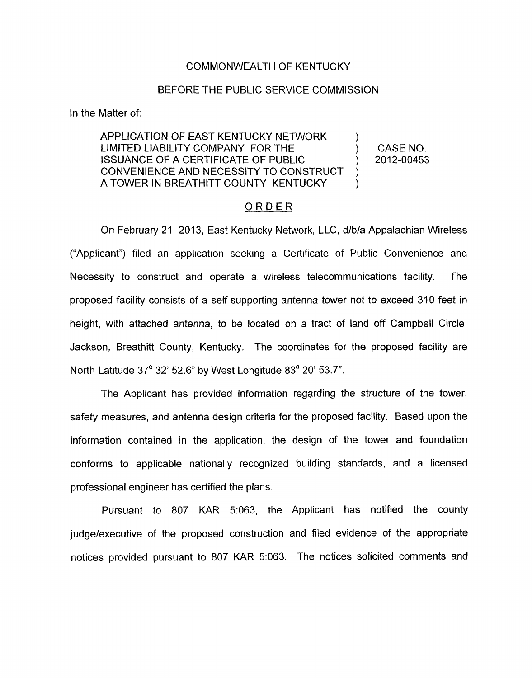## COMMONWEALTH OF KENTUCKY

## BEFORE THE PUBLIC SERVICE COMMISSION

In the Matter of:

## APPLICATION OF EAST KENTUCKY NETWORK LIMITED LIABILITY COMPANY FOR THE ) CASENO. ISSUANCE OF A CERTIFICATE OF PUBLIC ) 2012-00453 CONVENIENCE AND NECESSITY TO CONSTRUCT A TOWER IN BREATHITT COUNTY, KENTUCKY  $\sum_{i=1}^{n}$ ) )

## ORDER

On February 21, 2013, East Kentucky Network, LLC, d/b/a Appalachian Wireless ("Applicant") filed an application seeking a Certificate of Public Convenience and Necessity to construct and operate a wireless telecommunications facility. The proposed facility consists of a self-supporting antenna tower not to exceed 310 feet in height, with attached antenna, to be located on a tract of land off Campbell Circle, Jackson, Breathitt County, Kentucky. The coordinates for the proposed facility are North Latitude 37° 32' 52.6" by West Longitude 83° 20' 53.7".

The Applicant has provided information regarding the structure of the tower, safety measures, and antenna design criteria for the proposed facility. Based upon the information contained in the application, the design of the tower and foundation conforms to applicable nationally recognized building standards, and a licensed professional engineer has certified the plans.

Pursuant to 807 KAR 5:063, the Applicant has notified the county judgelexecutive of the proposed construction and filed evidence of the appropriate notices provided pursuant to 807 KAR 5:063. The notices solicited comments and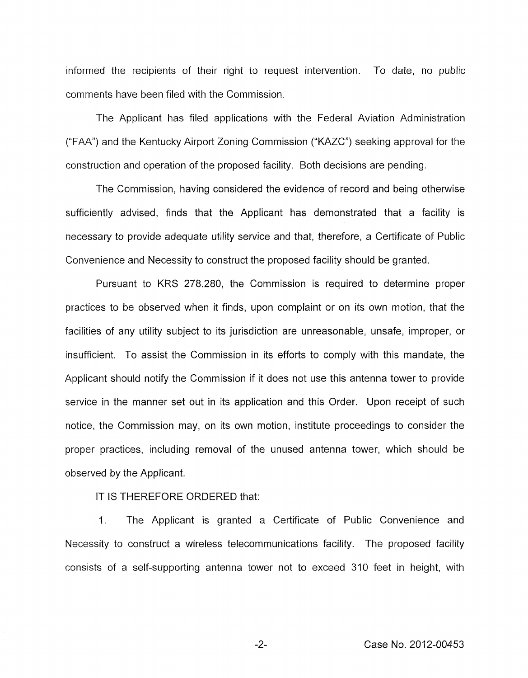informed the recipients of their right to request intervention. To date, no public comments have been filed with the Commission.

The Applicant has filed applications with the Federal Aviation Administration ("FAA") and the Kentucky Airport Zoning Commission ("KAZC") seeking approval for the construction and operation of the proposed facility. Both decisions are pending.

The Commission, having considered the evidence of record and being otherwise sufficiently advised, finds that the Applicant has demonstrated that a facility is necessary to provide adequate utility service and that, therefore, a Certificate of Public Convenience and Necessity to construct the proposed facility should be granted.

Pursuant to KRS 278.280, the Commission is required to determine proper practices to be observed when it finds, upon complaint or on its own motion, that the facilities of any utility subject to its jurisdiction are unreasonable, unsafe, improper, or insufficient. To assist the Commission in its efforts to comply with this mandate, the Applicant should notify the Commission if it does not use this antenna tower to provide service in the manner set out in its application and this Order. Upon receipt of such notice, the Commission may, on its own motion, institute proceedings to consider the proper practices, including removal of the unused antenna tower, which should be observed by the Applicant.

IT IS THEREFORE ORDERED that:

1. The Applicant is granted a Certificate of Public Convenience and Necessity to construct a wireless telecommunications facility. The proposed facility consists of a self-supporting antenna tower not to exceed 310 feet in height, with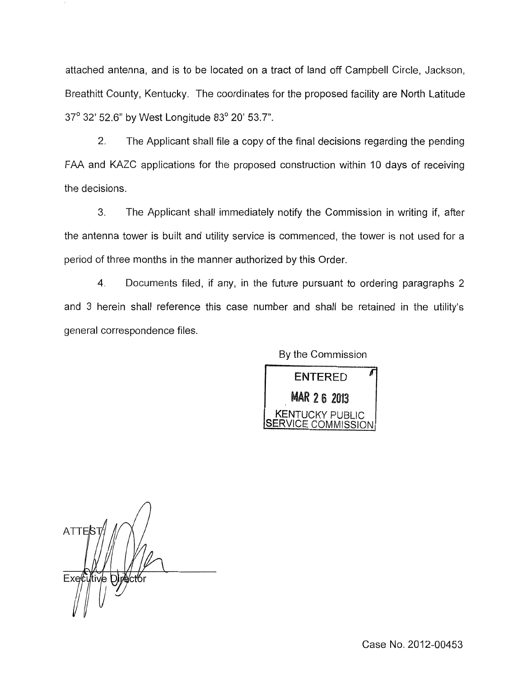attached antenna, and is to be located on a tract of land off Campbell Circle, Jackson, Breathitt County, Kentucky. The coordinates for the proposed facility are North Latitude 37' 32' 52.6" by West Longitude 83' 20' 53.7".

2. The Applicant shall file a copy of the final decisions regarding the pending FAA and KAZC applications for the proposed construction within 10 days of receiving the decisions.

*3.* The Applicant shall immediately notify the Commission in writing if, after the antenna tower is built and utility service is commenced, the tower is not used for a period of three months in the manner authorized by this Order.

4. Documents filed, if any, in the future pursuant to ordering paragraphs 2 and 3 herein shall reference this case number and shall be retained in the utility's general correspondence files.

By the Commission



**ATTER**  $Fx$  $\theta$